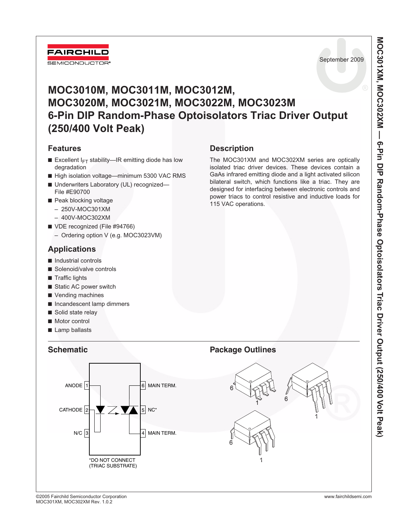

September 2009

# **MOC3010M, MOC3011M, MOC3012M, MOC3020M, MOC3021M, MOC3022M, MOC3023M 6-Pin DIP Random-Phase Optoisolators Triac Driver Output (250/400 Volt Peak)**

## **Features**

- Excellent  $I_{FT}$  stability—IR emitting diode has low degradation
- High isolation voltage—minimum 5300 VAC RMS
- Underwriters Laboratory (UL) recognized— File #E90700
- Peak blocking voltage
	- 250V-MOC301XM
	- 400V-MOC302XM
- VDE recognized (File #94766)
	- Ordering option V (e.g. MOC3023VM)

# **Applications**

- Industrial controls
- Solenoid/valve controls
- Traffic lights
- Static AC power switch
- Vending machines
- Incandescent lamp dimmers
- Solid state relay
- Motor control
- Lamp ballasts

# **Description**

The MOC301XM and MOC302XM series are optically isolated triac driver devices. These devices contain a GaAs infrared emitting diode and a light activated silicon bilateral switch, which functions like a triac. They are designed for interfacing between electronic controls and power triacs to control resistive and inductive loads for 115 VAC operations.

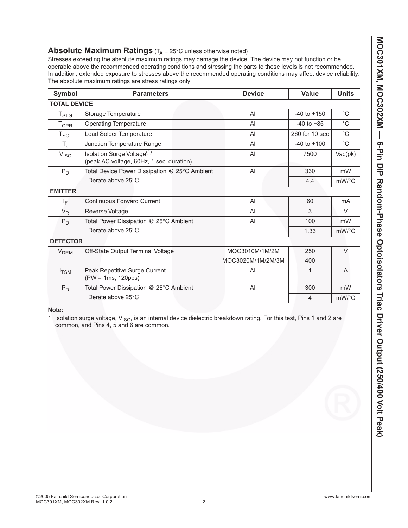## **Absolute Maximum Ratings** (T<sub>A</sub> = 25°C unless otherwise noted)

Stresses exceeding the absolute maximum ratings may damage the device. The device may not function or be operable above the recommended operating conditions and stressing the parts to these levels is not recommended. In addition, extended exposure to stresses above the recommended operating conditions may affect device reliability. The absolute maximum ratings are stress ratings only.

| Symbol                  | <b>Parameters</b>                                                                  | <b>Device</b>     |                 | <b>Units</b>          |
|-------------------------|------------------------------------------------------------------------------------|-------------------|-----------------|-----------------------|
| <b>TOTAL DEVICE</b>     |                                                                                    |                   |                 |                       |
| $T_{\text{STG}}$        | All<br>Storage Temperature                                                         |                   | $-40$ to $+150$ | $^{\circ}C$           |
| <b>T</b> <sub>OPR</sub> | <b>Operating Temperature</b>                                                       | All               | $-40$ to $+85$  | $^{\circ}C$           |
| $T_{\texttt{SOL}}$      | Lead Solder Temperature                                                            | All               | 260 for 10 sec  | $^{\circ}C$           |
| $T_{\rm J}$             | Junction Temperature Range                                                         | All               | $-40$ to $+100$ | $^{\circ}{\rm C}$     |
| V <sub>ISO</sub>        | Isolation Surge Voltage <sup>(1)</sup><br>(peak AC voltage, 60Hz, 1 sec. duration) | All               | 7500            | Vac(pk)               |
| $P_D$                   | Total Device Power Dissipation @ 25°C Ambient                                      | All               | 330             | mW                    |
|                         | Derate above 25°C                                                                  |                   | 4.4             | $mW$ <sup>o</sup> $C$ |
| <b>EMITTER</b>          |                                                                                    |                   |                 |                       |
| ΙF                      | <b>Continuous Forward Current</b>                                                  | All               | 60              | mA                    |
| $V_R$                   | <b>Reverse Voltage</b>                                                             | All               | 3               | $\vee$                |
| $P_D$                   | Total Power Dissipation @ 25°C Ambient                                             | All               | 100             | mW                    |
|                         | Derate above 25°C                                                                  |                   | 1.33            | $mW$ /°C              |
| <b>DETECTOR</b>         |                                                                                    |                   |                 |                       |
| <b>V<sub>DRM</sub></b>  | Off-State Output Terminal Voltage                                                  | MOC3010M/1M/2M    | 250             | $\vee$                |
|                         |                                                                                    | MOC3020M/1M/2M/3M | 400             |                       |
| $I_{\text{TSM}}$        | Peak Repetitive Surge Current<br>(PW = 1ms, 120pps)                                | All               | 1               | A                     |
| $P_D$                   | Total Power Dissipation @ 25°C Ambient                                             | All               | 300             | mW                    |
|                         | Derate above 25°C                                                                  |                   | $\overline{4}$  | $mW$ /°C              |

### **Note:**

1. Isolation surge voltage, V<sub>ISO</sub>, is an internal device dielectric breakdown rating. For this test, Pins 1 and 2 are common, and Pins 4, 5 and 6 are common.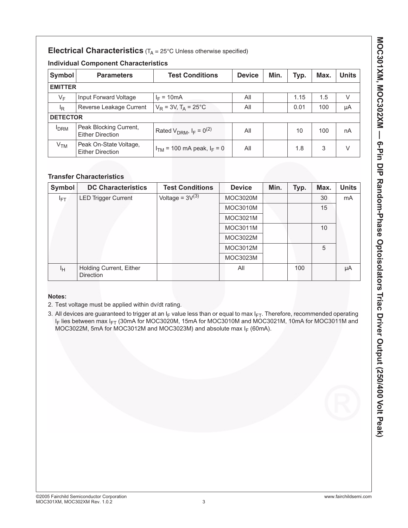## **Electrical Characteristics** (T<sub>A</sub> = 25°C Unless otherwise specified)

## **Individual Component Characteristics**

| Symbol          | <b>Parameters</b>                                 | <b>Test Conditions</b>            | <b>Device</b> | Min. | Typ. | Max. | <b>Units</b> |
|-----------------|---------------------------------------------------|-----------------------------------|---------------|------|------|------|--------------|
|                 | <b>EMITTER</b>                                    |                                   |               |      |      |      |              |
| $V_F$           | Input Forward Voltage                             | $I_F = 10mA$                      | All           |      | 1.15 | 1.5  | V            |
| <sup>I</sup> R  | Reverse Leakage Current                           | $V_R = 3V$ , $T_A = 25^{\circ}C$  | All           |      | 0.01 | 100  | μA           |
| <b>DETECTOR</b> |                                                   |                                   |               |      |      |      |              |
| <b>I</b> DRM    | Peak Blocking Current,<br><b>Either Direction</b> | Rated $V_{DRM}$ , $I_F = 0^{(2)}$ | All           |      | 10   | 100  | nA           |
| V <sub>TM</sub> | Peak On-State Voltage,<br><b>Either Direction</b> | $I_{TM}$ = 100 mA peak, $I_F$ = 0 | All           |      | 1.8  | 3    | V            |

## **Transfer Characteristics**

| Symbol | <b>DC Characteristics</b>                   | <b>Test Conditions</b> | <b>Device</b>   | Min. | Typ. | Max. | <b>Units</b> |
|--------|---------------------------------------------|------------------------|-----------------|------|------|------|--------------|
| lFT.   | <b>LED Trigger Current</b>                  | Voltage = $3V^{(3)}$   | <b>MOC3020M</b> |      |      | 30   | mA           |
|        |                                             |                        | <b>MOC3010M</b> |      |      | 15   |              |
|        |                                             |                        | MOC3021M        |      |      |      |              |
|        |                                             |                        | <b>MOC3011M</b> |      |      | 10   |              |
|        |                                             |                        | MOC3022M        |      |      |      |              |
|        |                                             |                        | MOC3012M        |      |      | 5    |              |
|        |                                             |                        | MOC3023M        |      |      |      |              |
| Iн     | Holding Current, Either<br><b>Direction</b> |                        | All             |      | 100  |      | μA           |

## **Notes:**

2. Test voltage must be applied within dv/dt rating.

3. All devices are guaranteed to trigger at an  $I_F$  value less than or equal to max  $I_{FT}$ . Therefore, recommended operating I<sub>F</sub> lies between max I<sub>FT</sub> (30mA for MOC3020M, 15mA for MOC3010M and MOC3021M, 10mA for MOC3011M and MOC3022M, 5mA for MOC3012M and MOC3023M) and absolute max  $I_F$  (60mA).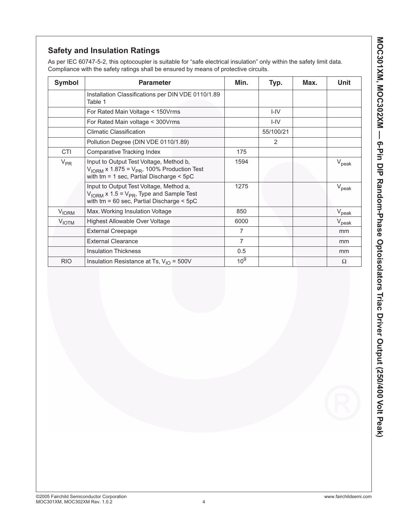# **Safety and Insulation Ratings**

As per IEC 60747-5-2, this optocoupler is suitable for "safe electrical insulation" only within the safety limit data. Compliance with the safety ratings shall be ensured by means of protective circuits.

| <b>Symbol</b>           | <b>Parameter</b>                                                                                                                                              | Min.            | Typ.           | Max. | Unit              |
|-------------------------|---------------------------------------------------------------------------------------------------------------------------------------------------------------|-----------------|----------------|------|-------------------|
|                         | Installation Classifications per DIN VDE 0110/1.89<br>Table 1                                                                                                 |                 |                |      |                   |
|                         | For Rated Main Voltage < 150Vrms                                                                                                                              |                 | $I - IV$       |      |                   |
|                         | For Rated Main voltage < 300Vrms                                                                                                                              |                 | $I - IV$       |      |                   |
|                         | <b>Climatic Classification</b>                                                                                                                                |                 | 55/100/21      |      |                   |
|                         | Pollution Degree (DIN VDE 0110/1.89)                                                                                                                          |                 | $\overline{2}$ |      |                   |
| <b>CTI</b>              | Comparative Tracking Index                                                                                                                                    | 175             |                |      |                   |
| $V_{PR}$                | Input to Output Test Voltage, Method b,<br>$V_{\text{IORM}}$ x 1.875 = $V_{\text{PR}}$ , 100% Production Test<br>with $tm = 1$ sec, Partial Discharge $<$ 5pC | 1594            |                |      | $V_{\rm peak}$    |
|                         | Input to Output Test Voltage, Method a,<br>$V_{\text{IORM}}$ x 1.5 = $V_{\text{PR}}$ , Type and Sample Test<br>with $tm = 60$ sec, Partial Discharge $< 5pC$  | 1275            |                |      | $V_{\text{peak}}$ |
| <b>V<sub>IORM</sub></b> | Max. Working Insulation Voltage                                                                                                                               | 850             |                |      | $V_{\rm peak}$    |
| <b>VIOTM</b>            | Highest Allowable Over Voltage                                                                                                                                | 6000            |                |      | $V_{\sf peak}$    |
|                         | <b>External Creepage</b>                                                                                                                                      | 7               |                |      | mm                |
|                         | <b>External Clearance</b>                                                                                                                                     | 7               |                |      | mm                |
|                         | <b>Insulation Thickness</b>                                                                                                                                   | 0.5             |                |      | mm                |
| <b>RIO</b>              | Insulation Resistance at Ts, $V_{1O} = 500V$                                                                                                                  | 10 <sup>9</sup> |                |      | Ω                 |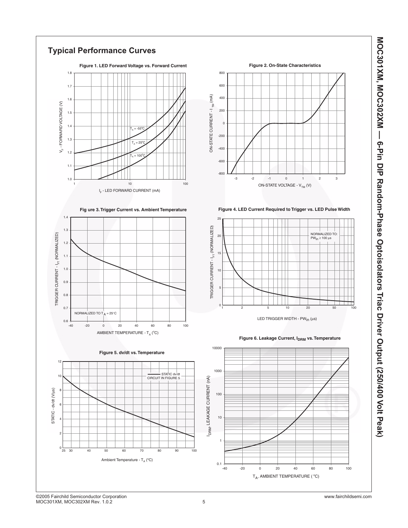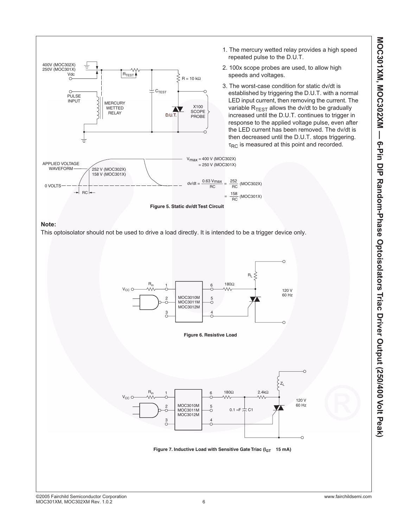





**Figure 7. Inductive Load with Sensitive Gate Triac (IGT 15 mA)**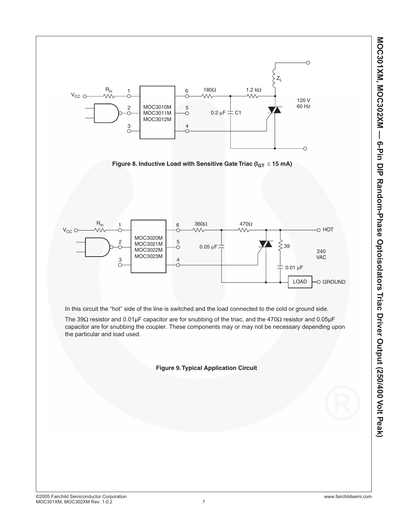



In this circuit the "hot" side of the line is switched and the load connected to the cold or ground side.

The 39Ω resistor and 0.01µF capacitor are for snubbing of the triac, and the 470Ω resistor and 0.05µF capacitor are for snubbing the coupler. These components may or may not be necessary depending upon the particular and load used.

**Figure 9. Typical Application Circuit**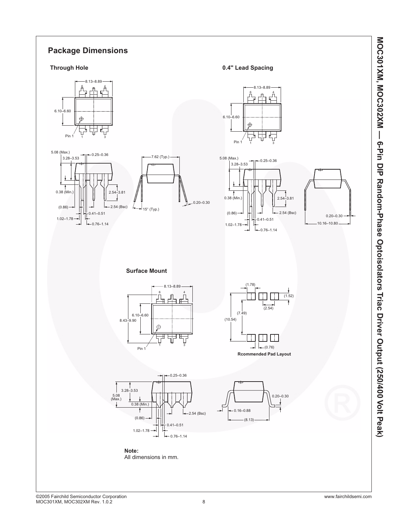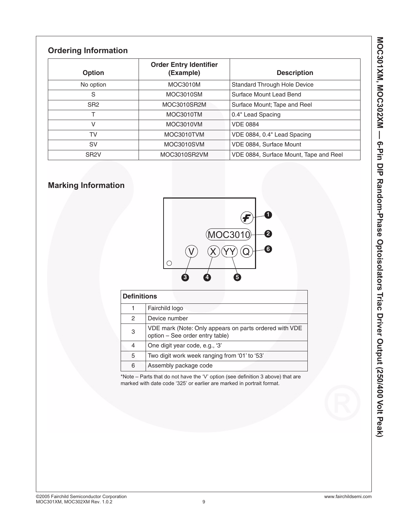# **Ordering Information**

| <b>Option</b>     | <b>Order Entry Identifier</b><br>(Example) | <b>Description</b>                     |
|-------------------|--------------------------------------------|----------------------------------------|
| No option         | MOC3010M                                   | <b>Standard Through Hole Device</b>    |
| S                 | MOC3010SM                                  | Surface Mount Lead Bend                |
| SR <sub>2</sub>   | MOC3010SR2M                                | Surface Mount; Tape and Reel           |
|                   | MOC3010TM                                  | 0.4" Lead Spacing                      |
| V                 | MOC3010VM                                  | <b>VDE 0884</b>                        |
| TV                | MOC3010TVM                                 | VDE 0884, 0.4" Lead Spacing            |
| <b>SV</b>         | MOC3010SVM                                 | VDE 0884, Surface Mount                |
| SR <sub>2</sub> V | MOC3010SR2VM                               | VDE 0884, Surface Mount, Tape and Reel |

# **Marking Information**



| <b>Definitions</b> |                                                                                           |  |  |
|--------------------|-------------------------------------------------------------------------------------------|--|--|
|                    | Fairchild logo                                                                            |  |  |
| 2                  | Device number                                                                             |  |  |
| 3                  | VDE mark (Note: Only appears on parts ordered with VDE<br>option - See order entry table) |  |  |
| 4                  | One digit year code, e.g., '3'                                                            |  |  |
| 5                  | Two digit work week ranging from '01' to '53'                                             |  |  |
| 6                  | Assembly package code                                                                     |  |  |

\*Note – Parts that do not have the 'V' option (see definition 3 above) that are marked with date code '325' or earlier are marked in portrait format.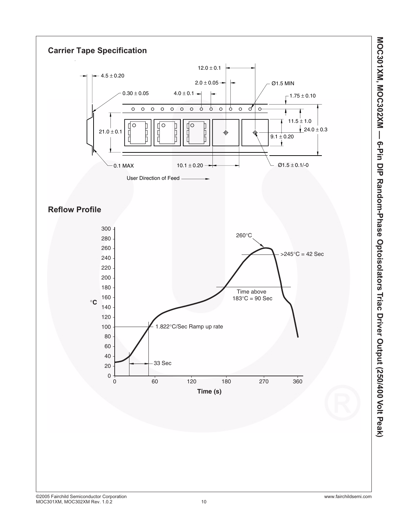